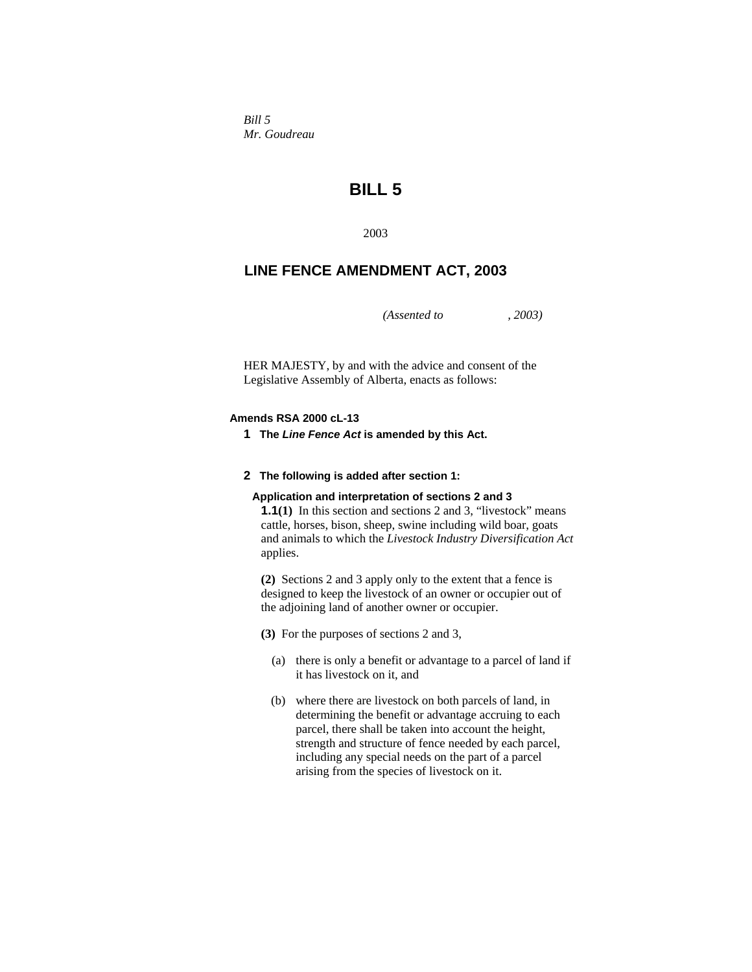*Bill 5 Mr. Goudreau* 

# **BILL 5**

2003

## **LINE FENCE AMENDMENT ACT, 2003**

*(Assented to , 2003)* 

HER MAJESTY, by and with the advice and consent of the Legislative Assembly of Alberta, enacts as follows:

### **Amends RSA 2000 cL-13**

**1 The** *Line Fence Act* **is amended by this Act.**

#### **2 The following is added after section 1:**

#### **Application and interpretation of sections 2 and 3**

**1.1(1)** In this section and sections 2 and 3, "livestock" means cattle, horses, bison, sheep, swine including wild boar, goats and animals to which the *Livestock Industry Diversification Act* applies.

**(2)** Sections 2 and 3 apply only to the extent that a fence is designed to keep the livestock of an owner or occupier out of the adjoining land of another owner or occupier.

**(3)** For the purposes of sections 2 and 3,

- (a) there is only a benefit or advantage to a parcel of land if it has livestock on it, and
- (b) where there are livestock on both parcels of land, in determining the benefit or advantage accruing to each parcel, there shall be taken into account the height, strength and structure of fence needed by each parcel, including any special needs on the part of a parcel arising from the species of livestock on it.